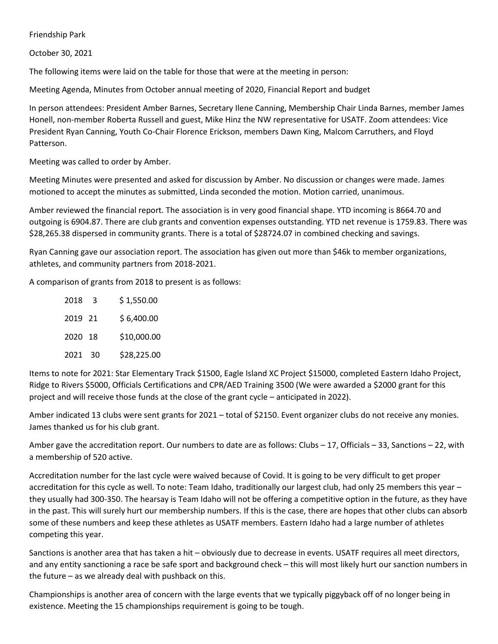Friendship Park

October 30, 2021

The following items were laid on the table for those that were at the meeting in person:

Meeting Agenda, Minutes from October annual meeting of 2020, Financial Report and budget

In person attendees: President Amber Barnes, Secretary Ilene Canning, Membership Chair Linda Barnes, member James Honell, non-member Roberta Russell and guest, Mike Hinz the NW representative for USATF. Zoom attendees: Vice President Ryan Canning, Youth Co-Chair Florence Erickson, members Dawn King, Malcom Carruthers, and Floyd Patterson.

Meeting was called to order by Amber.

Meeting Minutes were presented and asked for discussion by Amber. No discussion or changes were made. James motioned to accept the minutes as submitted, Linda seconded the motion. Motion carried, unanimous.

Amber reviewed the financial report. The association is in very good financial shape. YTD incoming is 8664.70 and outgoing is 6904.87. There are club grants and convention expenses outstanding. YTD net revenue is 1759.83. There was \$28,265.38 dispersed in community grants. There is a total of \$28724.07 in combined checking and savings.

Ryan Canning gave our association report. The association has given out more than \$46k to member organizations, athletes, and community partners from 2018-2021.

A comparison of grants from 2018 to present is as follows:

| 2018    | ્વ | \$1,550.00  |
|---------|----|-------------|
| 2019 21 |    | \$6,400.00  |
| 2020 18 |    | \$10,000.00 |
| 2021 30 |    | \$28,225.00 |

Items to note for 2021: Star Elementary Track \$1500, Eagle Island XC Project \$15000, completed Eastern Idaho Project, Ridge to Rivers \$5000, Officials Certifications and CPR/AED Training 3500 (We were awarded a \$2000 grant for this project and will receive those funds at the close of the grant cycle – anticipated in 2022).

Amber indicated 13 clubs were sent grants for 2021 – total of \$2150. Event organizer clubs do not receive any monies. James thanked us for his club grant.

Amber gave the accreditation report. Our numbers to date are as follows: Clubs – 17, Officials – 33, Sanctions – 22, with a membership of 520 active.

Accreditation number for the last cycle were waived because of Covid. It is going to be very difficult to get proper accreditation for this cycle as well. To note: Team Idaho, traditionally our largest club, had only 25 members this year – they usually had 300-350. The hearsay is Team Idaho will not be offering a competitive option in the future, as they have in the past. This will surely hurt our membership numbers. If this is the case, there are hopes that other clubs can absorb some of these numbers and keep these athletes as USATF members. Eastern Idaho had a large number of athletes competing this year.

Sanctions is another area that has taken a hit – obviously due to decrease in events. USATF requires all meet directors, and any entity sanctioning a race be safe sport and background check – this will most likely hurt our sanction numbers in the future – as we already deal with pushback on this.

Championships is another area of concern with the large events that we typically piggyback off of no longer being in existence. Meeting the 15 championships requirement is going to be tough.